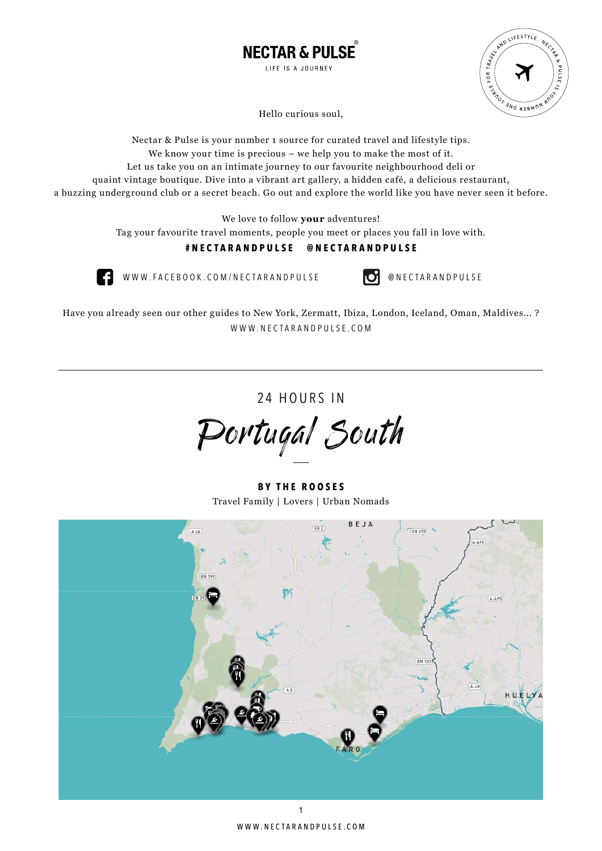



Hello curious soul,

Nectar & Pulse is your number 1 source for curated travel and lifestyle tips. We know your time is precious – we help you to make the most of it. Let us take you on an intimate journey to our favourite neighbourhood deli or quaint vintage boutique. Dive into a vibrant art gallery, a hidden café, a delicious restaurant, a buzzing underground club or a secret beach. Go out and explore the world like you have never seen it before.

We love to follow **your** adventures!

Tag your favourite travel moments, people you meet or places you fall in love with.

# **#nectarandpulse @nectarandpulse**



WWW.FACEBOOK.COM/NECTARANDPULSE **@** NECTARANDPULSE

Have you already seen our other guides to New York, Zermatt, Ibiza, London, Iceland, Oman, Maldives... ? WWW.NECTARANDPULSE.COM

24 HOURS IN

Portugal South

**By T he R ooses** Travel Family | Lovers | Urban Nomads

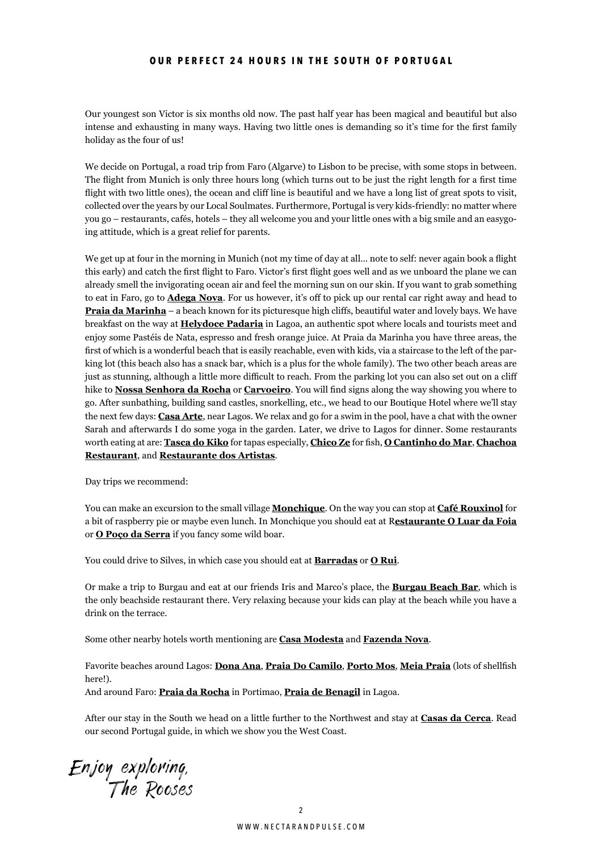### **OUR PERFECT 24 HOURS IN THE SOUTH OF PORTUGAL**

Our youngest son Victor is six months old now. The past half year has been magical and beautiful but also intense and exhausting in many ways. Having two little ones is demanding so it's time for the first family holiday as the four of us!

We decide on Portugal, a road trip from Faro (Algarve) to Lisbon to be precise, with some stops in between. The flight from Munich is only three hours long (which turns out to be just the right length for a first time flight with two little ones), the ocean and cliff line is beautiful and we have a long list of great spots to visit, collected over the years by our Local Soulmates. Furthermore, Portugal is very kids-friendly: no matter where you go – restaurants, cafés, hotels – they all welcome you and your little ones with a big smile and an easygoing attitude, which is a great relief for parents.

We get up at four in the morning in Munich (not my time of day at all... note to self: never again book a flight this early) and catch the first flight to Faro. Victor's first flight goes well and as we unboard the plane we can already smell the invigorating ocean air and feel the morning sun on our skin. If you want to grab something to eat in Faro, go to **Adega Nova**. For us however, it's off to pick up our rental car right away and head to **Praia da Marinha** – a beach known for its picturesque high cliffs, beautiful water and lovely bays. We have breakfast on the way at **Helydoce Padaria** in Lagoa, an authentic spot where locals and tourists meet and enjoy some Pastéis de Nata, espresso and fresh orange juice. At Praia da Marinha you have three areas, the first of which is a wonderful beach that is easily reachable, even with kids, via a staircase to the left of the parking lot (this beach also has a snack bar, which is a plus for the whole family). The two other beach areas are just as stunning, although a little more difficult to reach. From the parking lot you can also set out on a cliff hike to **Nossa Senhora da Rocha** or **Carvoeiro**. You will find signs along the way showing you where to go. After sunbathing, building sand castles, snorkelling, etc., we head to our Boutique Hotel where we'll stay the next few days: **Casa Arte**, near Lagos. We relax and go for a swim in the pool, have a chat with the owner Sarah and afterwards I do some yoga in the garden. Later, we drive to Lagos for dinner. Some restaurants worth eating at are: **Tasca do Kiko** for tapas especially, **Chico Ze** for fish, **O Cantinho do Mar**, **Chachoa Restaurant**, and **Restaurante dos Artistas**.

Day trips we recommend:

You can make an excursion to the small village **Monchique**. On the way you can stop at **Café Rouxinol** for a bit of raspberry pie or maybe even lunch. In Monchique you should eat at R**estaurante O Luar da Foia** or **O Poço da Serra** if you fancy some wild boar.

You could drive to Silves, in which case you should eat at **Barradas** or **O Rui**.

Or make a trip to Burgau and eat at our friends Iris and Marco's place, the **Burgau Beach Bar**, which is the only beachside restaurant there. Very relaxing because your kids can play at the beach while you have a drink on the terrace.

Some other nearby hotels worth mentioning are **Casa Modesta** and **Fazenda Nova**.

Favorite beaches around Lagos: **Dona Ana**, **Praia Do Camilo**, **Porto Mos**, **Meia Praia** (lots of shellfish here!). And around Faro: **Praia da Rocha** in Portimao, **Praia de Benagil** in Lagoa.

After our stay in the South we head on a little further to the Northwest and stay at **Casas da Cerca**. Read our second Portugal guide, in which we show you the West Coast.

Enjoy exploring, The Rooses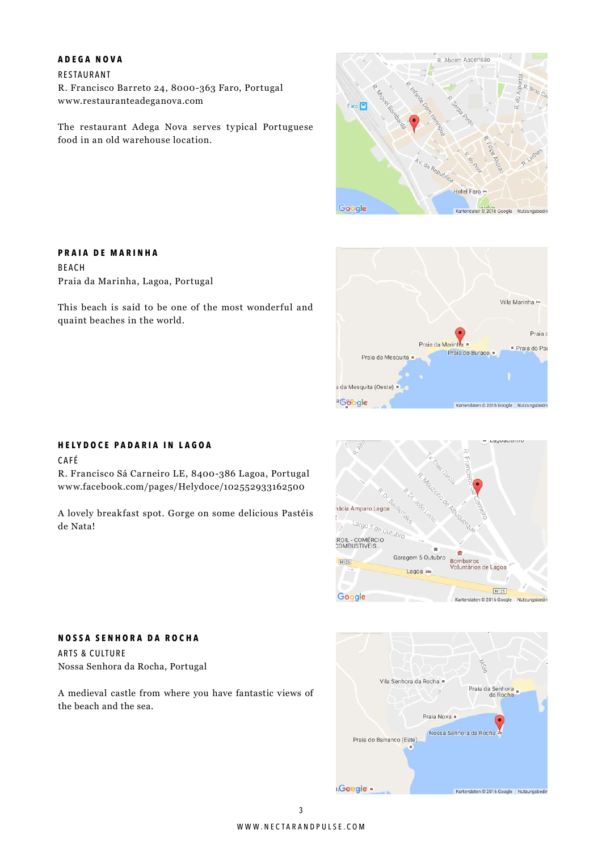#### **A dega N ova**

Restaurant R. Francisco Barreto 24, 8000-363 Faro, Portugal www.restauranteadeganova.com

The restaurant Adega Nova serves typical Portuguese food in an old warehouse location.



![](_page_2_Picture_4.jpeg)

# This beach is said to be one of the most wonderful and

**P raia D e Marinha**

Beach

quaint beaches in the world.

Praia da Marinha, Lagoa, Portugal

#### **H ely d oce P adaria in lagoa**

**N ossa S enhora D a R ocha**

Nossa Senhora da Rocha, Portugal

Arts & Culture

the beach and the sea.

CAFÉ

R. Francisco Sá Carneiro LE, 8400-386 Lagoa, Portugal www.facebook.com/pages/Helydoce/102552933162500

A lovely breakfast spot. Gorge on some delicious Pastéis de Nata!

A medieval castle from where you have fantastic views of

![](_page_2_Figure_11.jpeg)

![](_page_2_Figure_12.jpeg)

# www.nectarandpulse.com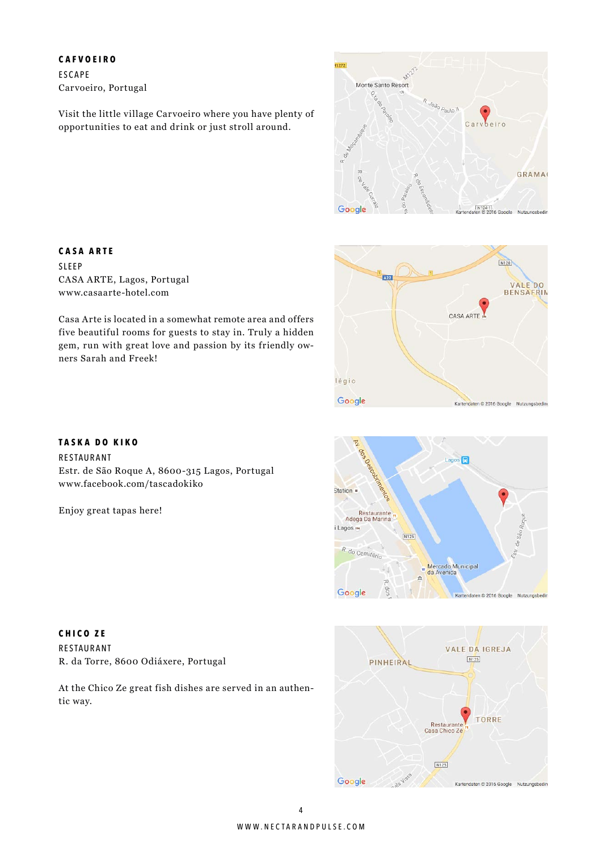**C afvoeiro FSCAPF** Carvoeiro, Portugal

Visit the little village Carvoeiro where you have plenty of opportunities to eat and drink or just stroll around.

![](_page_3_Figure_2.jpeg)

![](_page_3_Figure_3.jpeg)

**T aska D o K iko**

Restaurant

Casa Arte is located in a somewhat remote area and offers five beautiful rooms for guests to stay in. Truly a hidden gem, run with great love and passion by its friendly owners Sarah and Freek!

Estr. de São Roque A, 8600-315 Lagos, Portugal

www.facebook.com/tascadokiko

Enjoy great tapas here!

![](_page_3_Figure_5.jpeg)

![](_page_3_Figure_6.jpeg)

![](_page_3_Picture_7.jpeg)

**C hico Ze** Restaurant R. da Torre, 8600 Odiáxere, Portugal

At the Chico Ze great fish dishes are served in an authentic way.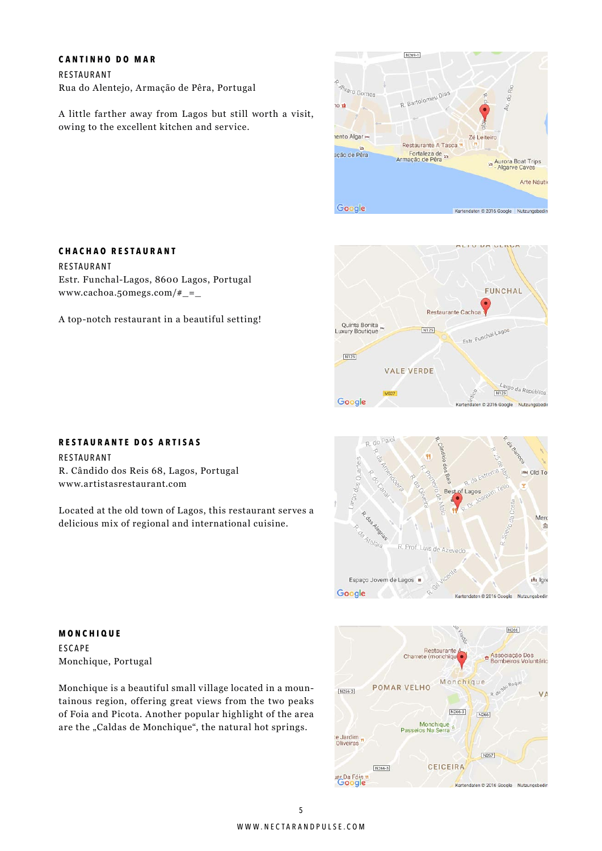#### **C antinho D o m a r**

**C hachao R estaurant**

www.cachoa.50megs.com/#\_=\_

Restaurant

Restaurant Rua do Alentejo, Armação de Pêra, Portugal

Estr. Funchal-Lagos, 8600 Lagos, Portugal

A top-notch restaurant in a beautiful setting!

A little farther away from Lagos but still worth a visit, owing to the excellent kitchen and service.

![](_page_4_Figure_3.jpeg)

![](_page_4_Figure_4.jpeg)

# **R estaurante D os A rtisas**

Restaurant R. Cândido dos Reis 68, Lagos, Portugal www.artistasrestaurant.com

Located at the old town of Lagos, this restaurant serves a delicious mix of regional and international cuisine.

**DI** Old To Best of Lago Merc o. **SAIRBITIRG** 面  $A_{t_{\partial/\partial i_{\partial}}}$ R. Prof. Luis de Azeved Espaco Jovem de Lagos in lare Google Kartendaten @ 2016 Google Nutzungsbedin

**Monchique ESCAPE** Monchique, Portugal

Monchique is a beautiful small village located in a mountainous region, offering great views from the two peaks of Foia and Picota. Another popular highlight of the area are the "Caldas de Monchique", the natural hot springs.

![](_page_4_Figure_11.jpeg)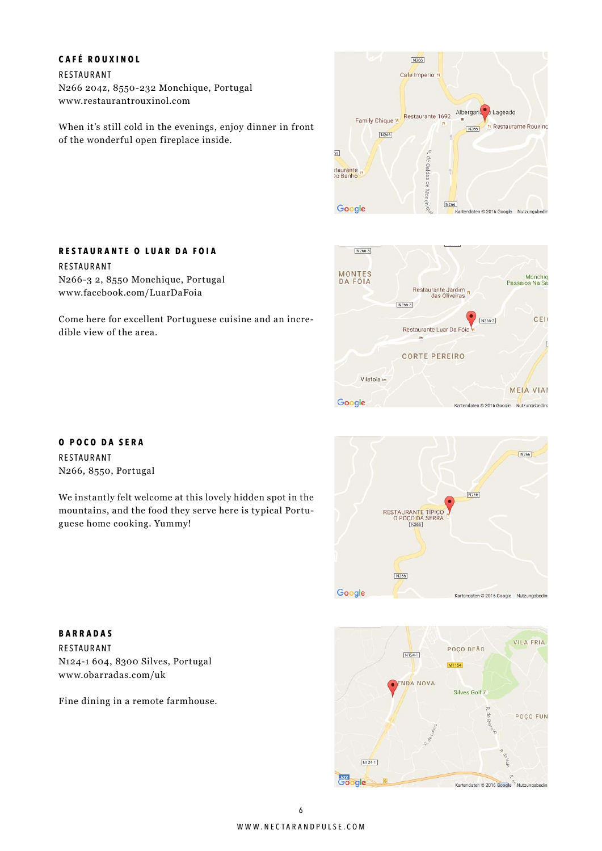## **C afé R ouxinol**

Restaurant N266 204z, 8550-232 Monchique, Portugal www.restaurantrouxinol.com

**R estaurante O L uar D a F oia**

N266-3 2, 8550 Monchique, Portugal www.facebook.com/LuarDaFoia

Restaurant

When it's still cold in the evenings, enjoy dinner in front of the wonderful open fireplace inside.

Come here for excellent Portuguese cuisine and an incre-

![](_page_5_Picture_3.jpeg)

#### $N266-3$ MONTES<br>DA FÓIA Monchio Passeios Na Su Restaurante Jardim<br>das Oliveiras  $\boxed{\text{N266-3}}$ CEL N266.3 Restaurante Luar Da Fó **CORTE PEREIRO** Vilafoîa m **MEIA VIAI** Google Kartendaten © 2016 Google Nutzungsbeding

**O P o c o D a S era** Restaurant N266, 8550, Portugal

dible view of the area.

We instantly felt welcome at this lovely hidden spot in the mountains, and the food they serve here is typical Portuguese home cooking. Yummy!

![](_page_5_Picture_7.jpeg)

**Barradas** Restaurant N124-1 604, 8300 Silves, Portugal www.obarradas.com/uk

Fine dining in a remote farmhouse.

![](_page_5_Picture_10.jpeg)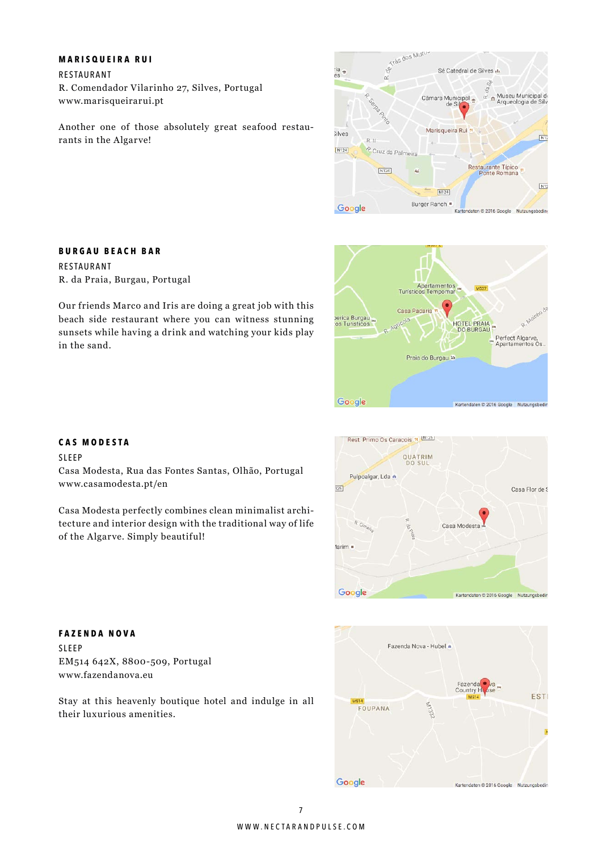#### **Marisqueira R u i**

Restaurant R. Comendador Vilarinho 27, Silves, Portugal www.marisqueirarui.pt

Another one of those absolutely great seafood restaurants in the Algarve!

![](_page_6_Picture_3.jpeg)

# Apartamentos<br>Turísticos Tempomar 14537 Casa Padaria perica Burgau<br>:os Turisticos HOTEL PRAIA Perfect Algarve,<br>Apartamentos Os Praia do Burgau to Google Kartendaten © 2016 Google Nutzungsbedi

## **Burgau Beach Bar**

Restaurant R. da Praia, Burgau, Portugal

Our friends Marco and Iris are doing a great job with this beach side restaurant where you can witness stunning sunsets while having a drink and watching your kids play in the sand.

# **C as Modesta**

SIFFP

Casa Modesta, Rua das Fontes Santas, Olhão, Portugal www.casamodesta.pt/en

Casa Modesta perfectly combines clean minimalist architecture and interior design with the traditional way of life of the Algarve. Simply beautiful!

![](_page_6_Picture_12.jpeg)

![](_page_6_Figure_13.jpeg)

**F a z enda N ova** Sleep EM514 642X, 8800-509, Portugal www.fazendanova.eu

Stay at this heavenly boutique hotel and indulge in all their luxurious amenities.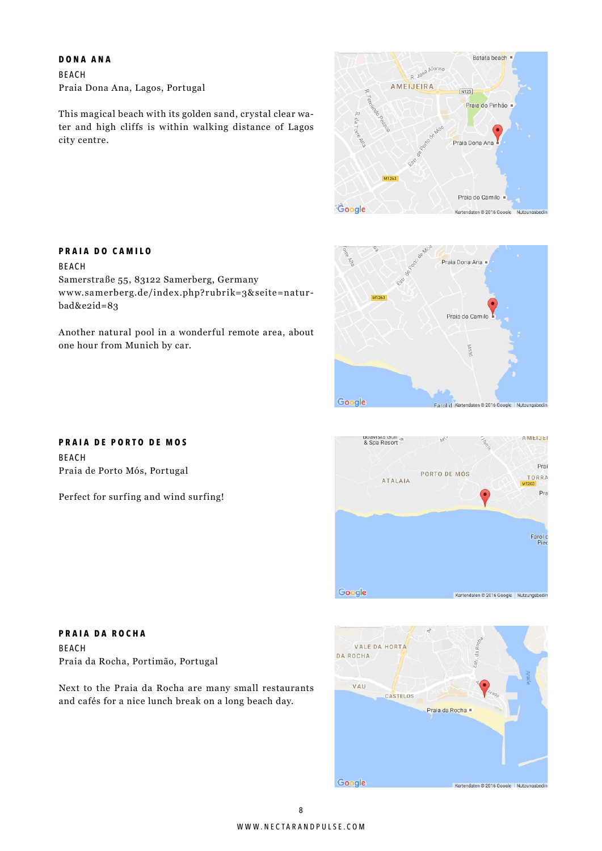#### **D ona A n a**

**P r a ia D o C a m ilo**

Beach

bad&e2id=83

Beach Praia Dona Ana, Lagos, Portugal

This magical beach with its golden sand, crystal clear water and high cliffs is within walking distance of Lagos city centre.

![](_page_7_Figure_3.jpeg)

![](_page_7_Figure_4.jpeg)

![](_page_7_Figure_5.jpeg)

![](_page_7_Picture_6.jpeg)

Samerstraße 55, 83122 Samerberg, Germany

www.samerberg.de/index.php?rubrik=3&seite=natur-

Another natural pool in a wonderful remote area, about

**P raia D e P orto D e Mos** Beach Praia de Porto Mós, Portugal

one hour from Munich by car.

Perfect for surfing and wind surfing!

**P raia D a R ocha** Beach Praia da Rocha, Portimão, Portugal

Next to the Praia da Rocha are many small restaurants and cafés for a nice lunch break on a long beach day.